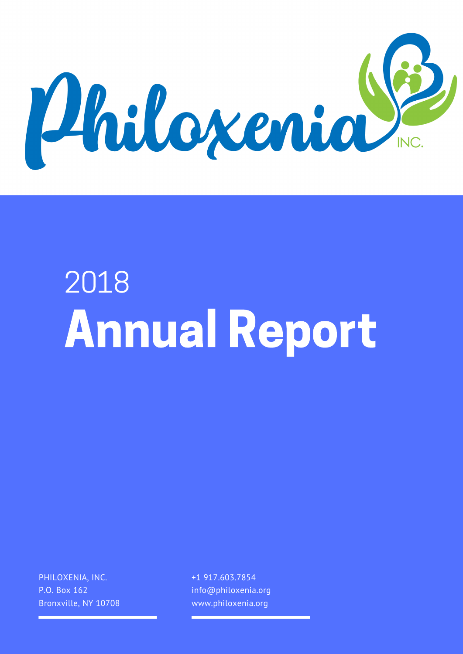

# Annual Report 2018

PHILOXENIA, INC. P.O. Box 162 Bronxville, NY 10708 +1 917.603.7854 info@philoxenia.org www.philoxenia.org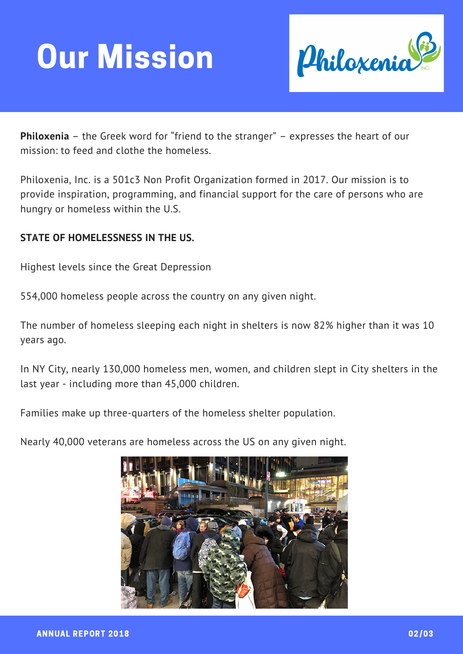## Our Mission



**Philoxenia** – the Greek word for "friend to the stranger" – expresses the heart of our mission: to feed and clothe the homeless.

Philoxenia, Inc. is a 501c3 Non Profit Organization formed in 2017. Our mission is to provide inspiration, programming, and financial support for the care of persons who are hungry or homeless within the U.S.

#### **STATE OF HOMELESSNESS IN THE US.**

Highest levels since the Great Depression

554,000 homeless people across the country on any given night.

The number of homeless sleeping each night in shelters is now 82% higher than it was 10 years ago.

In NY City, nearly 130,000 homeless men, women, and children slept in City shelters in the last year - including more than 45,000 children.

Families make up three-quarters of the homeless shelter population.

Nearly 40,000 veterans are homeless across the US on any given night.

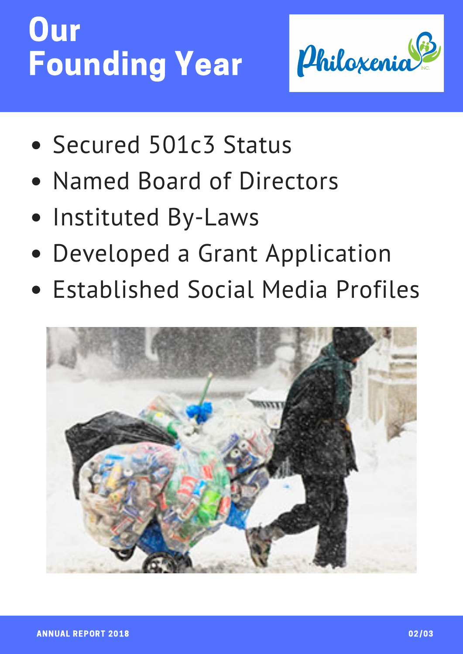### Our Founding Year



- Secured 501c3 Status
- Named Board of Directors
- Instituted By-Laws
- Developed a Grant Application
- **Established Social Media Profiles**

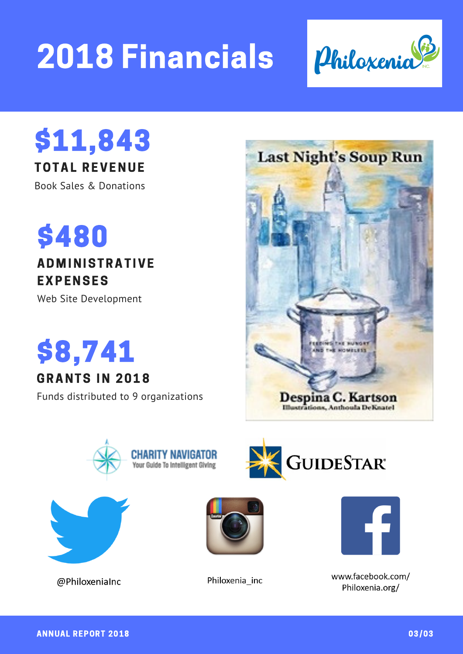# 2018 Financials



### \$11,843

TOTAL REVENUE

Book Sales & Donations



#### **ADMINISTRATIVE** EXPENSES

Web Site Development

### \$8,741

#### GRANTS IN 2018

Funds distributed to 9 organizations









@PhiloxeniaInc



Philoxenia\_inc



www.facebook.com/ Philoxenia.org/